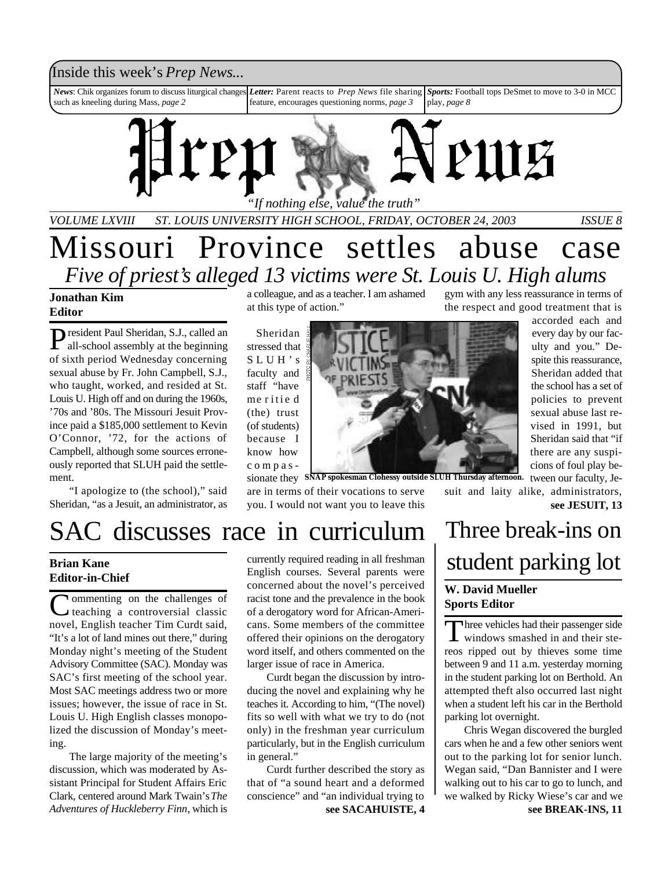### Inside this week's *Prep News*...

*News*: Chik organizes forum to discuss liturgical changes such as kneeling during Mass, *page 2 Letter:* Parent reacts to *Prep News* file sharing feature, encourages questioning norms, *page 3 Sports:* Football tops DeSmet to move to 3-0 in MCC play, *page 8*



*VOLUME LXVIII ST. LOUIS UNIVERSITY HIGH SCHOOL, FRIDAY, OCTOBER 24, 2003 ISSUE 8*

# Missouri Province settles abuse case *Five of priest's alleged 13 victims were St. Louis U. High alums*

### **Jonathan Kim Editor**

President Paul Sheridan, S.J., called an all-school assembly at the beginning all-school assembly at the beginning of sixth period Wednesday concerning sexual abuse by Fr. John Campbell, S.J., who taught, worked, and resided at St. Louis U. High off and on during the 1960s, '70s and '80s. The Missouri Jesuit Province paid a \$185,000 settlement to Kevin O'Connor, '72, for the actions of Campbell, although some sources erroneously reported that SLUH paid the settlement.

"I apologize to (the school)," said Sheridan, "as a Jesuit, an administrator, as a colleague, and as a teacher. I am ashamed at this type of action."

Sheridan stressed that S L U H ' s faculty and staff "have me r itie d (the) trust (of students) because I know how c o m p a s -



the respect and good treatment that is accorded each and every day by our faculty and you." Despite this reassurance,

gym with any less reassurance in terms of

Sheridan added that the school has a set of policies to prevent sexual abuse last revised in 1991, but Sheridan said that "if there are any suspicions of foul play be-

sionate they SNAP spokesman Clohessy outside SLUH Thursday afternoon. tween our faculty, Jesuit and laity alike, administrators, **see JESUIT, 13**

# SAC discusses race in curriculum

**Brian Kane Editor-in-Chief**

Commenting on the challenges of<br>
teaching a controversial classic teaching a controversial classic novel, English teacher Tim Curdt said, "It's a lot of land mines out there," during Monday night's meeting of the Student Advisory Committee (SAC). Monday was SAC's first meeting of the school year. Most SAC meetings address two or more issues; however, the issue of race in St. Louis U. High English classes monopolized the discussion of Monday's meeting.

The large majority of the meeting's discussion, which was moderated by Assistant Principal for Student Affairs Eric Clark, centered around Mark Twain's *The Adventures of Huckleberry Finn*, which is currently required reading in all freshman English courses. Several parents were concerned about the novel's perceived racist tone and the prevalence in the book of a derogatory word for African-Americans. Some members of the committee offered their opinions on the derogatory word itself, and others commented on the larger issue of race in America.

are in terms of their vocations to serve you. I would not want you to leave this

Curdt began the discussion by introducing the novel and explaining why he teaches it. According to him, "(The novel) fits so well with what we try to do (not only) in the freshman year curriculum particularly, but in the English curriculum in general."

Curdt further described the story as that of "a sound heart and a deformed conscience" and "an individual trying to **see SACAHUISTE, 4**

### Three break-ins on student parking lot **W. David Mueller Sports Editor**

Three vehicles had their passenger side<br>windows smashed in and their stehree vehicles had their passenger side reos ripped out by thieves some time between 9 and 11 a.m. yesterday morning in the student parking lot on Berthold. An attempted theft also occurred last night when a student left his car in the Berthold parking lot overnight.

Chris Wegan discovered the burgled cars when he and a few other seniors went out to the parking lot for senior lunch. Wegan said, "Dan Bannister and I were walking out to his car to go to lunch, and we walked by Ricky Wiese's car and we **see BREAK-INS, 11**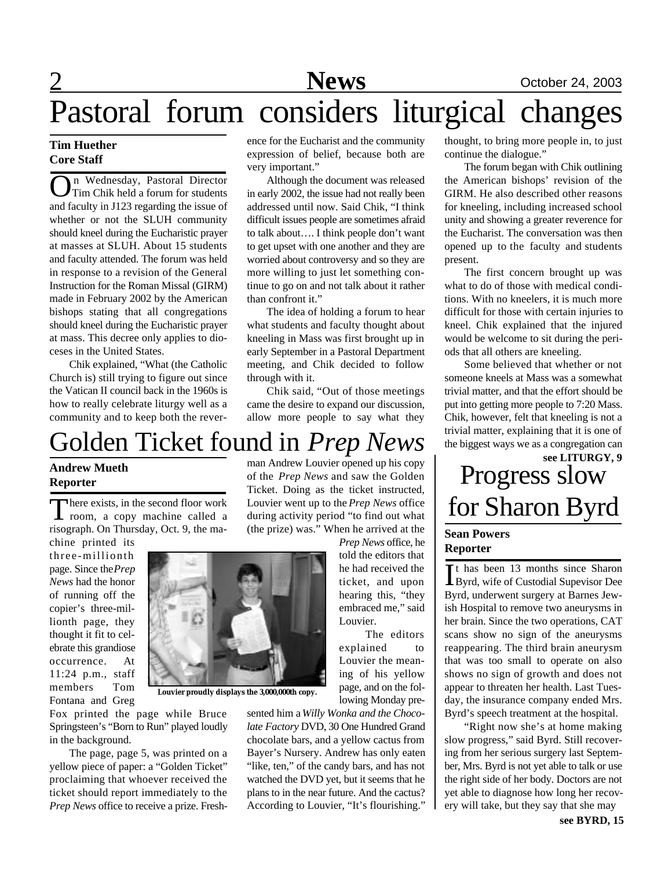### **Tim Huether Core Staff**

**O**n Wednesday, Pastoral Director<br>Tim Chik held a forum for students<br>and faculty in J123 regarding the issue of n Wednesday, Pastoral Director Tim Chik held a forum for students whether or not the SLUH community should kneel during the Eucharistic prayer at masses at SLUH. About 15 students and faculty attended. The forum was held in response to a revision of the General Instruction for the Roman Missal (GIRM) made in February 2002 by the American bishops stating that all congregations should kneel during the Eucharistic prayer at mass. This decree only applies to dioceses in the United States.

Chik explained, "What (the Catholic Church is) still trying to figure out since the Vatican II council back in the 1960s is how to really celebrate liturgy well as a community and to keep both the reverence for the Eucharist and the community expression of belief, because both are very important."

Although the document was released in early 2002, the issue had not really been addressed until now. Said Chik, "I think difficult issues people are sometimes afraid to talk about…. I think people don't want to get upset with one another and they are worried about controversy and so they are more willing to just let something continue to go on and not talk about it rather than confront it."

The idea of holding a forum to hear what students and faculty thought about kneeling in Mass was first brought up in early September in a Pastoral Department meeting, and Chik decided to follow through with it.

Chik said, "Out of those meetings came the desire to expand our discussion, allow more people to say what they

# Golden Ticket found in *Prep News*

### **Andrew Mueth Reporter**

There exists, in the second floor work<br>room, a copy machine called a here exists, in the second floor work risograph. On Thursday, Oct. 9, the ma-

chine printed its three-millionth page. Since the *Prep News* had the honor of running off the copier's three-millionth page, they thought it fit to celebrate this grandiose occurrence. At 11:24 p.m., staff members Tom Fontana and Greg

man Andrew Louvier opened up his copy of the *Prep News* and saw the Golden Ticket. Doing as the ticket instructed, Louvier went up to the *Prep News* office during activity period "to find out what (the prize) was." When he arrived at the

*Prep News* office, he told the editors that he had received the ticket, and upon hearing this, "they embraced me," said Louvier.

The editors explained to Louvier the meaning of his yellow page, and on the following Monday pre-

sented him a *Willy Wonka and the Chocolate Factory* DVD, 30 One Hundred Grand chocolate bars, and a yellow cactus from Bayer's Nursery. Andrew has only eaten "like, ten," of the candy bars, and has not watched the DVD yet, but it seems that he plans to in the near future. And the cactus? According to Louvier, "It's flourishing."

thought, to bring more people in, to just continue the dialogue."

The forum began with Chik outlining the American bishops' revision of the GIRM. He also described other reasons for kneeling, including increased school unity and showing a greater reverence for the Eucharist. The conversation was then opened up to the faculty and students present.

The first concern brought up was what to do of those with medical conditions. With no kneelers, it is much more difficult for those with certain injuries to kneel. Chik explained that the injured would be welcome to sit during the periods that all others are kneeling.

Some believed that whether or not someone kneels at Mass was a somewhat trivial matter, and that the effort should be put into getting more people to 7:20 Mass. Chik, however, felt that kneeling is not a trivial matter, explaining that it is one of the biggest ways we as a congregation can

### Progress slow for Sharon Byrd **see LITURGY, 9**

### **Sean Powers Reporter**

It has been 13 months since Sharon<br>Byrd, wife of Custodial Supevisor Dee t has been 13 months since Sharon Byrd, underwent surgery at Barnes Jewish Hospital to remove two aneurysms in her brain. Since the two operations, CAT scans show no sign of the aneurysms reappearing. The third brain aneurysm that was too small to operate on also shows no sign of growth and does not appear to threaten her health. Last Tuesday, the insurance company ended Mrs. Byrd's speech treatment at the hospital.

"Right now she's at home making slow progress," said Byrd. Still recovering from her serious surgery last September, Mrs. Byrd is not yet able to talk or use the right side of her body. Doctors are not yet able to diagnose how long her recovery will take, but they say that she may



**Louvier proudly displays the 3,000,000th copy.**

Fox printed the page while Bruce Springsteen's "Born to Run" played loudly in the background.

The page, page 5, was printed on a yellow piece of paper: a "Golden Ticket" proclaiming that whoever received the ticket should report immediately to the *Prep News* office to receive a prize. Fresh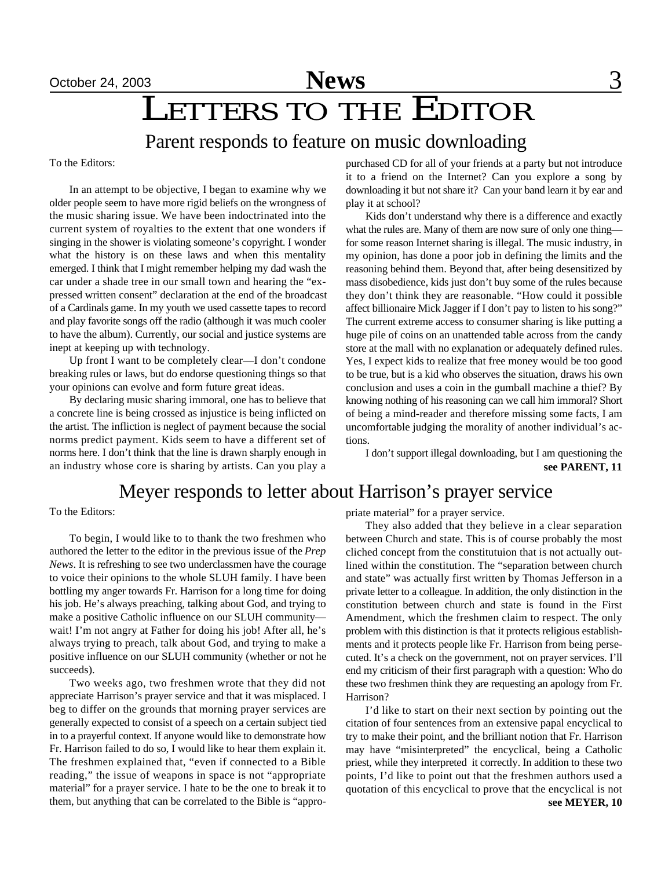October 24, 2003 **News** 3

# October 24, 2003<br>
LETTERS TO THE EDITOR

### Parent responds to feature on music downloading

To the Editors:

In an attempt to be objective, I began to examine why we older people seem to have more rigid beliefs on the wrongness of the music sharing issue. We have been indoctrinated into the current system of royalties to the extent that one wonders if singing in the shower is violating someone's copyright. I wonder what the history is on these laws and when this mentality emerged. I think that I might remember helping my dad wash the car under a shade tree in our small town and hearing the "expressed written consent" declaration at the end of the broadcast of a Cardinals game. In my youth we used cassette tapes to record and play favorite songs off the radio (although it was much cooler to have the album). Currently, our social and justice systems are inept at keeping up with technology.

Up front I want to be completely clear—I don't condone breaking rules or laws, but do endorse questioning things so that your opinions can evolve and form future great ideas.

By declaring music sharing immoral, one has to believe that a concrete line is being crossed as injustice is being inflicted on the artist. The infliction is neglect of payment because the social norms predict payment. Kids seem to have a different set of norms here. I don't think that the line is drawn sharply enough in an industry whose core is sharing by artists. Can you play a

purchased CD for all of your friends at a party but not introduce it to a friend on the Internet? Can you explore a song by downloading it but not share it? Can your band learn it by ear and play it at school?

Kids don't understand why there is a difference and exactly what the rules are. Many of them are now sure of only one thing for some reason Internet sharing is illegal. The music industry, in my opinion, has done a poor job in defining the limits and the reasoning behind them. Beyond that, after being desensitized by mass disobedience, kids just don't buy some of the rules because they don't think they are reasonable. "How could it possible affect billionaire Mick Jagger if I don't pay to listen to his song?" The current extreme access to consumer sharing is like putting a huge pile of coins on an unattended table across from the candy store at the mall with no explanation or adequately defined rules. Yes, I expect kids to realize that free money would be too good to be true, but is a kid who observes the situation, draws his own conclusion and uses a coin in the gumball machine a thief? By knowing nothing of his reasoning can we call him immoral? Short of being a mind-reader and therefore missing some facts, I am uncomfortable judging the morality of another individual's actions.

I don't support illegal downloading, but I am questioning the **see PARENT, 11**

### Meyer responds to letter about Harrison's prayer service

To the Editors:

To begin, I would like to to thank the two freshmen who authored the letter to the editor in the previous issue of the *Prep News*. It is refreshing to see two underclassmen have the courage to voice their opinions to the whole SLUH family. I have been bottling my anger towards Fr. Harrison for a long time for doing his job. He's always preaching, talking about God, and trying to make a positive Catholic influence on our SLUH community wait! I'm not angry at Father for doing his job! After all, he's always trying to preach, talk about God, and trying to make a positive influence on our SLUH community (whether or not he succeeds).

Two weeks ago, two freshmen wrote that they did not appreciate Harrison's prayer service and that it was misplaced. I beg to differ on the grounds that morning prayer services are generally expected to consist of a speech on a certain subject tied in to a prayerful context. If anyone would like to demonstrate how Fr. Harrison failed to do so, I would like to hear them explain it. The freshmen explained that, "even if connected to a Bible reading," the issue of weapons in space is not "appropriate material" for a prayer service. I hate to be the one to break it to them, but anything that can be correlated to the Bible is "appropriate material" for a prayer service.

They also added that they believe in a clear separation between Church and state. This is of course probably the most cliched concept from the constitutuion that is not actually outlined within the constitution. The "separation between church and state" was actually first written by Thomas Jefferson in a private letter to a colleague. In addition, the only distinction in the constitution between church and state is found in the First Amendment, which the freshmen claim to respect. The only problem with this distinction is that it protects religious establishments and it protects people like Fr. Harrison from being persecuted. It's a check on the government, not on prayer services. I'll end my criticism of their first paragraph with a question: Who do these two freshmen think they are requesting an apology from Fr. Harrison?

I'd like to start on their next section by pointing out the citation of four sentences from an extensive papal encyclical to try to make their point, and the brilliant notion that Fr. Harrison may have "misinterpreted" the encyclical, being a Catholic priest, while they interpreted it correctly. In addition to these two points, I'd like to point out that the freshmen authors used a quotation of this encyclical to prove that the encyclical is not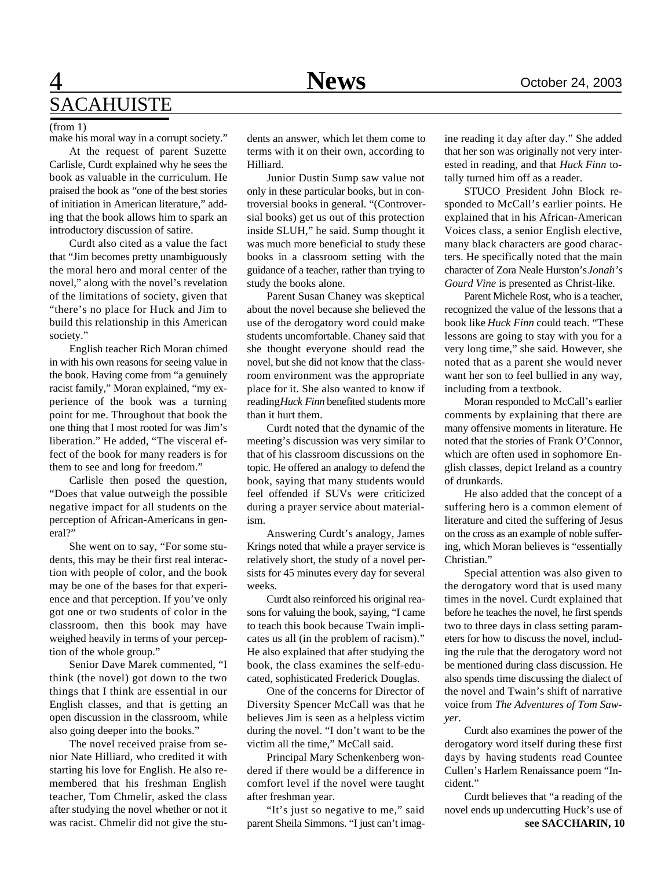## 4 **News** October 24, 2003 SACAHUISTE

#### (from 1)

make his moral way in a corrupt society."

At the request of parent Suzette Carlisle, Curdt explained why he sees the book as valuable in the curriculum. He praised the book as "one of the best stories of initiation in American literature," adding that the book allows him to spark an introductory discussion of satire.

Curdt also cited as a value the fact that "Jim becomes pretty unambiguously the moral hero and moral center of the novel," along with the novel's revelation of the limitations of society, given that "there's no place for Huck and Jim to build this relationship in this American society."

English teacher Rich Moran chimed in with his own reasons for seeing value in the book. Having come from "a genuinely racist family," Moran explained, "my experience of the book was a turning point for me. Throughout that book the one thing that I most rooted for was Jim's liberation." He added, "The visceral effect of the book for many readers is for them to see and long for freedom."

Carlisle then posed the question, "Does that value outweigh the possible negative impact for all students on the perception of African-Americans in general?"

She went on to say, "For some students, this may be their first real interaction with people of color, and the book may be one of the bases for that experience and that perception. If you've only got one or two students of color in the classroom, then this book may have weighed heavily in terms of your perception of the whole group."

Senior Dave Marek commented, "I think (the novel) got down to the two things that I think are essential in our English classes, and that is getting an open discussion in the classroom, while also going deeper into the books."

The novel received praise from senior Nate Hilliard, who credited it with starting his love for English. He also remembered that his freshman English teacher, Tom Chmelir, asked the class after studying the novel whether or not it was racist. Chmelir did not give the students an answer, which let them come to terms with it on their own, according to Hilliard.

Junior Dustin Sump saw value not only in these particular books, but in controversial books in general. "(Controversial books) get us out of this protection inside SLUH," he said. Sump thought it was much more beneficial to study these books in a classroom setting with the guidance of a teacher, rather than trying to study the books alone.

Parent Susan Chaney was skeptical about the novel because she believed the use of the derogatory word could make students uncomfortable. Chaney said that she thought everyone should read the novel, but she did not know that the classroom environment was the appropriate place for it. She also wanted to know if reading *Huck Finn* benefited students more than it hurt them.

Curdt noted that the dynamic of the meeting's discussion was very similar to that of his classroom discussions on the topic. He offered an analogy to defend the book, saying that many students would feel offended if SUVs were criticized during a prayer service about materialism.

Answering Curdt's analogy, James Krings noted that while a prayer service is relatively short, the study of a novel persists for 45 minutes every day for several weeks.

Curdt also reinforced his original reasons for valuing the book, saying, "I came to teach this book because Twain implicates us all (in the problem of racism)." He also explained that after studying the book, the class examines the self-educated, sophisticated Frederick Douglas.

One of the concerns for Director of Diversity Spencer McCall was that he believes Jim is seen as a helpless victim during the novel. "I don't want to be the victim all the time," McCall said.

Principal Mary Schenkenberg wondered if there would be a difference in comfort level if the novel were taught after freshman year.

"It's just so negative to me," said parent Sheila Simmons. "I just can't imagine reading it day after day." She added that her son was originally not very interested in reading, and that *Huck Finn* totally turned him off as a reader.

STUCO President John Block responded to McCall's earlier points. He explained that in his African-American Voices class, a senior English elective, many black characters are good characters. He specifically noted that the main character of Zora Neale Hurston's *Jonah's Gourd Vine* is presented as Christ-like.

Parent Michele Rost, who is a teacher, recognized the value of the lessons that a book like *Huck Finn* could teach. "These lessons are going to stay with you for a very long time," she said. However, she noted that as a parent she would never want her son to feel bullied in any way, including from a textbook.

Moran responded to McCall's earlier comments by explaining that there are many offensive moments in literature. He noted that the stories of Frank O'Connor, which are often used in sophomore English classes, depict Ireland as a country of drunkards.

He also added that the concept of a suffering hero is a common element of literature and cited the suffering of Jesus on the cross as an example of noble suffering, which Moran believes is "essentially Christian."

Special attention was also given to the derogatory word that is used many times in the novel. Curdt explained that before he teaches the novel, he first spends two to three days in class setting parameters for how to discuss the novel, including the rule that the derogatory word not be mentioned during class discussion. He also spends time discussing the dialect of the novel and Twain's shift of narrative voice from *The Adventures of Tom Sawyer*.

Curdt also examines the power of the derogatory word itself during these first days by having students read Countee Cullen's Harlem Renaissance poem "Incident."

Curdt believes that "a reading of the novel ends up undercutting Huck's use of **see SACCHARIN, 10**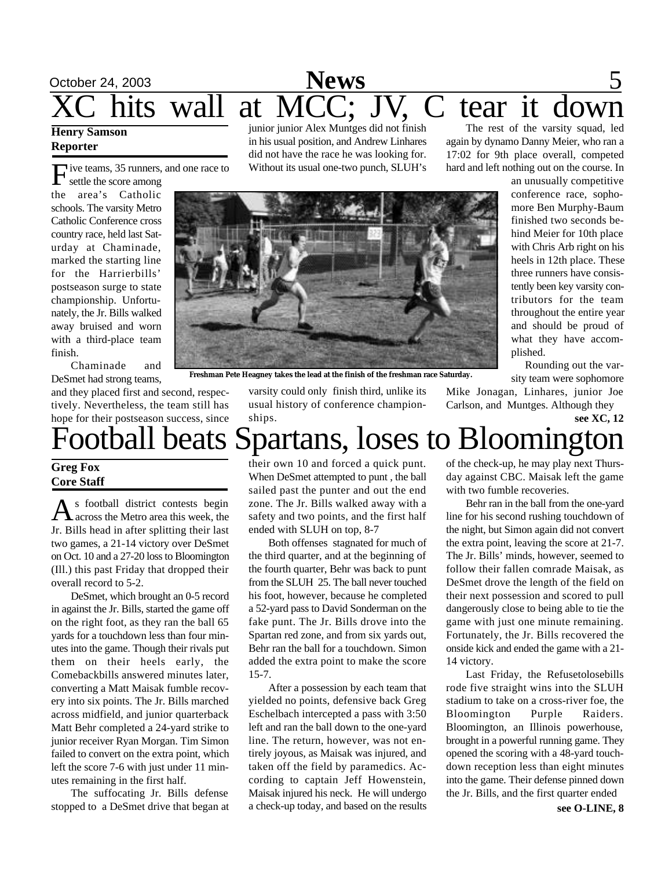# October 24, 2003 **News** 5 hits wall at MCC; JV, C tear it down

### **Henry Samson Reporter**

F ive teams, 35 runners, and one race to

settle the score among the area's Catholic schools. The varsity Metro Catholic Conference cross country race, held last Saturday at Chaminade, marked the starting line for the Harrierbills' postseason surge to state championship. Unfortunately, the Jr. Bills walked away bruised and worn with a third-place team finish.

Chaminade and DeSmet had strong teams,

and they placed first and second, respectively. Nevertheless, the team still has hope for their postseason success, since junior junior Alex Muntges did not finish in his usual position, and Andrew Linhares did not have the race he was looking for. Without its usual one-two punch, SLUH's

The rest of the varsity squad, led again by dynamo Danny Meier, who ran a 17:02 for 9th place overall, competed hard and left nothing out on the course. In



**Freshman Pete Heagney takes the lead at the finish of the freshman race Saturday.**

varsity could only finish third, unlike its usual history of conference championships.

an unusually competitive conference race, sophomore Ben Murphy-Baum finished two seconds behind Meier for 10th place with Chris Arb right on his heels in 12th place. These three runners have consistently been key varsity contributors for the team throughout the entire year and should be proud of what they have accomplished.

Rounding out the varsity team were sophomore

Mike Jonagan, Linhares, junior Joe Carlson, and Muntges. Although they

**see XC, 12**

# Football beats Spartans, loses to Bloomington

### **Greg Fox Core Staff**

As football district contests begin<br>across the Metro area this week, the s football district contests begin Jr. Bills head in after splitting their last two games, a 21-14 victory over DeSmet on Oct. 10 and a 27-20 loss to Bloomington (Ill.) this past Friday that dropped their overall record to 5-2.

DeSmet, which brought an 0-5 record in against the Jr. Bills, started the game off on the right foot, as they ran the ball 65 yards for a touchdown less than four minutes into the game. Though their rivals put them on their heels early, the Comebackbills answered minutes later, converting a Matt Maisak fumble recovery into six points. The Jr. Bills marched across midfield, and junior quarterback Matt Behr completed a 24-yard strike to junior receiver Ryan Morgan. Tim Simon failed to convert on the extra point, which left the score 7-6 with just under 11 minutes remaining in the first half.

The suffocating Jr. Bills defense stopped to a DeSmet drive that began at their own 10 and forced a quick punt. When DeSmet attempted to punt , the ball sailed past the punter and out the end zone. The Jr. Bills walked away with a safety and two points, and the first half ended with SLUH on top, 8-7

Both offenses stagnated for much of the third quarter, and at the beginning of the fourth quarter, Behr was back to punt from the SLUH 25. The ball never touched his foot, however, because he completed a 52-yard pass to David Sonderman on the fake punt. The Jr. Bills drove into the Spartan red zone, and from six yards out, Behr ran the ball for a touchdown. Simon added the extra point to make the score 15-7.

After a possession by each team that yielded no points, defensive back Greg Eschelbach intercepted a pass with 3:50 left and ran the ball down to the one-yard line. The return, however, was not entirely joyous, as Maisak was injured, and taken off the field by paramedics. According to captain Jeff Howenstein, Maisak injured his neck. He will undergo a check-up today, and based on the results

of the check-up, he may play next Thursday against CBC. Maisak left the game with two fumble recoveries.

Behr ran in the ball from the one-yard line for his second rushing touchdown of the night, but Simon again did not convert the extra point, leaving the score at 21-7. The Jr. Bills' minds, however, seemed to follow their fallen comrade Maisak, as DeSmet drove the length of the field on their next possession and scored to pull dangerously close to being able to tie the game with just one minute remaining. Fortunately, the Jr. Bills recovered the onside kick and ended the game with a 21- 14 victory.

Last Friday, the Refusetolosebills rode five straight wins into the SLUH stadium to take on a cross-river foe, the Bloomington Purple Raiders. Bloomington, an Illinois powerhouse, brought in a powerful running game. They opened the scoring with a 48-yard touchdown reception less than eight minutes into the game. Their defense pinned down the Jr. Bills, and the first quarter ended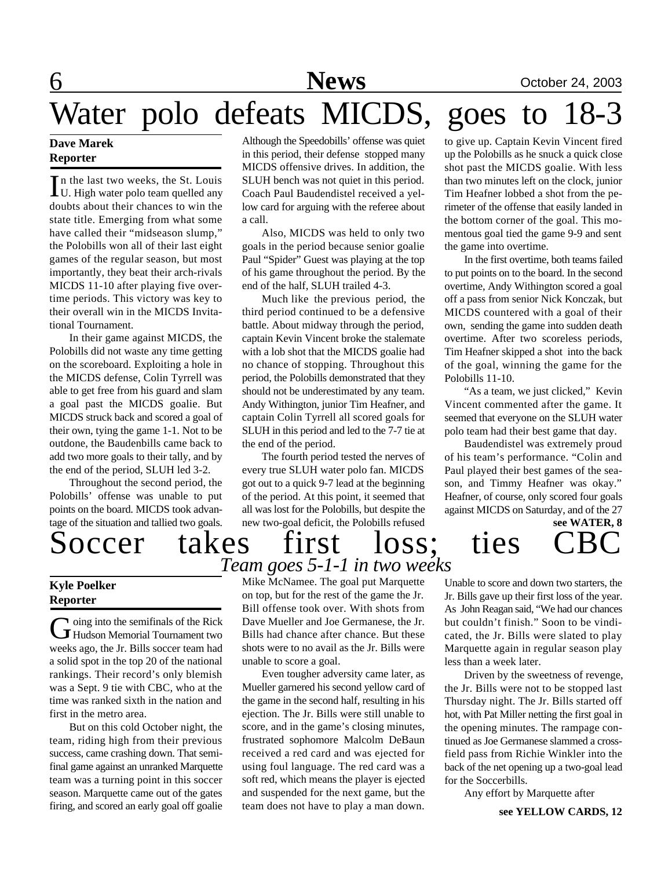# 6 **News** October 24, 2003 Water polo defeats MICDS, goes to 18-3

### **Dave Marek Reporter**

In the last two weeks, the St. Louis<br>U. High water polo team quelled any U. High water polo team quelled any doubts about their chances to win the state title. Emerging from what some have called their "midseason slump," the Polobills won all of their last eight games of the regular season, but most importantly, they beat their arch-rivals MICDS 11-10 after playing five overtime periods. This victory was key to their overall win in the MICDS Invitational Tournament.

In their game against MICDS, the Polobills did not waste any time getting on the scoreboard. Exploiting a hole in the MICDS defense, Colin Tyrrell was able to get free from his guard and slam a goal past the MICDS goalie. But MICDS struck back and scored a goal of their own, tying the game 1-1. Not to be outdone, the Baudenbills came back to add two more goals to their tally, and by the end of the period, SLUH led 3-2.

Throughout the second period, the Polobills' offense was unable to put points on the board. MICDS took advantage of the situation and tallied two goals.

Soccer takes first loss; ties

### **Kyle Poelker Reporter**

G oing into the semifinals of the Rick<br>Hudson Memorial Tournament two  $\blacktriangleright$  oing into the semifinals of the Rick weeks ago, the Jr. Bills soccer team had a solid spot in the top 20 of the national rankings. Their record's only blemish was a Sept. 9 tie with CBC, who at the time was ranked sixth in the nation and first in the metro area.

But on this cold October night, the team, riding high from their previous success, came crashing down. That semifinal game against an unranked Marquette team was a turning point in this soccer season. Marquette came out of the gates firing, and scored an early goal off goalie Although the Speedobills' offense was quiet in this period, their defense stopped many MICDS offensive drives. In addition, the SLUH bench was not quiet in this period. Coach Paul Baudendistel received a yellow card for arguing with the referee about a call.

Also, MICDS was held to only two goals in the period because senior goalie Paul "Spider" Guest was playing at the top of his game throughout the period. By the end of the half, SLUH trailed 4-3.

Much like the previous period, the third period continued to be a defensive battle. About midway through the period, captain Kevin Vincent broke the stalemate with a lob shot that the MICDS goalie had no chance of stopping. Throughout this period, the Polobills demonstrated that they should not be underestimated by any team. Andy Withington, junior Tim Heafner, and captain Colin Tyrrell all scored goals for SLUH in this period and led to the 7-7 tie at the end of the period.

The fourth period tested the nerves of every true SLUH water polo fan. MICDS got out to a quick 9-7 lead at the beginning of the period. At this point, it seemed that all was lost for the Polobills, but despite the new two-goal deficit, the Polobills refused

to give up. Captain Kevin Vincent fired up the Polobills as he snuck a quick close shot past the MICDS goalie. With less than two minutes left on the clock, junior Tim Heafner lobbed a shot from the perimeter of the offense that easily landed in the bottom corner of the goal. This momentous goal tied the game 9-9 and sent the game into overtime.

In the first overtime, both teams failed to put points on to the board. In the second overtime, Andy Withington scored a goal off a pass from senior Nick Konczak, but MICDS countered with a goal of their own, sending the game into sudden death overtime. After two scoreless periods, Tim Heafner skipped a shot into the back of the goal, winning the game for the Polobills 11-10.

"As a team, we just clicked," Kevin Vincent commented after the game. It seemed that everyone on the SLUH water polo team had their best game that day.

Baudendistel was extremely proud of his team's performance. "Colin and Paul played their best games of the season, and Timmy Heafner was okay." Heafner, of course, only scored four goals against MICDS on Saturday, and of the 27

**see WATER, 8**

Mike McNamee. The goal put Marquette on top, but for the rest of the game the Jr. Bill offense took over. With shots from Dave Mueller and Joe Germanese, the Jr. Bills had chance after chance. But these shots were to no avail as the Jr. Bills were unable to score a goal. *Team goes 5-1-1 in two weeks*

Even tougher adversity came later, as Mueller garnered his second yellow card of the game in the second half, resulting in his ejection. The Jr. Bills were still unable to score, and in the game's closing minutes, frustrated sophomore Malcolm DeBaun received a red card and was ejected for using foul language. The red card was a soft red, which means the player is ejected and suspended for the next game, but the team does not have to play a man down.

Unable to score and down two starters, the Jr. Bills gave up their first loss of the year. As John Reagan said, "We had our chances but couldn't finish." Soon to be vindicated, the Jr. Bills were slated to play Marquette again in regular season play less than a week later.

Driven by the sweetness of revenge, the Jr. Bills were not to be stopped last Thursday night. The Jr. Bills started off hot, with Pat Miller netting the first goal in the opening minutes. The rampage continued as Joe Germanese slammed a crossfield pass from Richie Winkler into the back of the net opening up a two-goal lead for the Soccerbills.

Any effort by Marquette after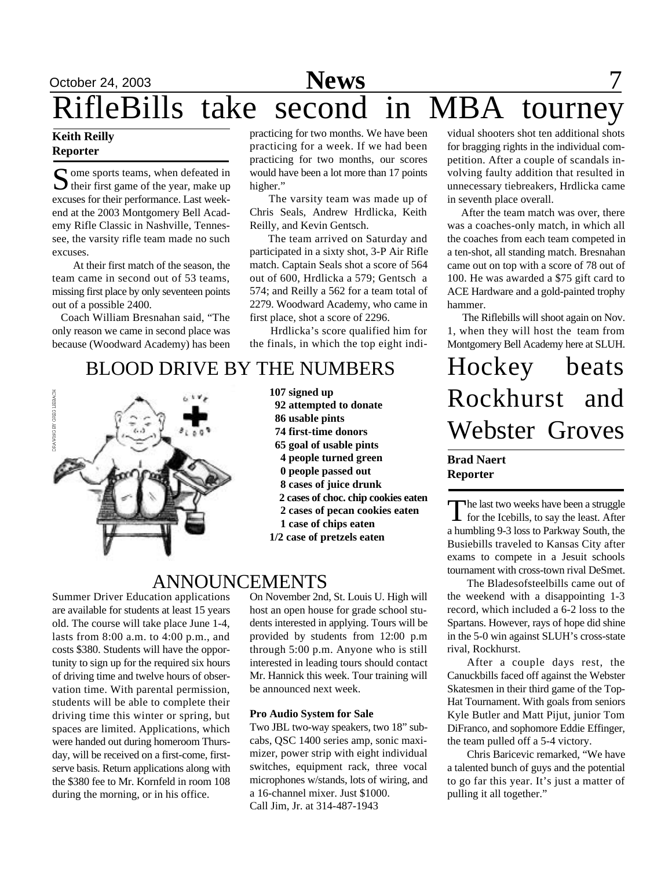# October 24, 2003 **News** 7 RifleBills take second in MBA tourney

### **Keith Reilly Reporter**

Some sports teams, when defeated in<br>their first game of the year, make up ome sports teams, when defeated in excuses for their performance. Last weekend at the 2003 Montgomery Bell Academy Rifle Classic in Nashville, Tennessee, the varsity rifle team made no such excuses.

 At their first match of the season, the team came in second out of 53 teams, missing first place by only seventeen points out of a possible 2400.

 Coach William Bresnahan said, "The only reason we came in second place was because (Woodward Academy) has been

practicing for two months. We have been practicing for a week. If we had been practicing for two months, our scores would have been a lot more than 17 points higher."

 The varsity team was made up of Chris Seals, Andrew Hrdlicka, Keith Reilly, and Kevin Gentsch.

 The team arrived on Saturday and participated in a sixty shot, 3-P Air Rifle match. Captain Seals shot a score of 564 out of 600, Hrdlicka a 579; Gentsch a 574; and Reilly a 562 for a team total of 2279. Woodward Academy, who came in first place, shot a score of 2296.

 Hrdlicka's score qualified him for the finals, in which the top eight indi-

### BLOOD DRIVE BY THE NUMBERS



**107 signed up 92 attempted to donate 86 usable pints 74 first-time donors 65 goal of usable pints 4 people turned green 0 people passed out 8 cases of juice drunk 2 cases of choc. chip cookies eaten 2 cases of pecan cookies eaten 1 case of chips eaten 1/2 case of pretzels eaten**

### ANNOUNCEMENTS

Summer Driver Education applications are available for students at least 15 years old. The course will take place June 1-4, lasts from 8:00 a.m. to 4:00 p.m., and costs \$380. Students will have the opportunity to sign up for the required six hours of driving time and twelve hours of observation time. With parental permission, students will be able to complete their driving time this winter or spring, but spaces are limited. Applications, which were handed out during homeroom Thursday, will be received on a first-come, firstserve basis. Return applications along with the \$380 fee to Mr. Kornfeld in room 108 during the morning, or in his office.

On November 2nd, St. Louis U. High will host an open house for grade school students interested in applying. Tours will be provided by students from 12:00 p.m through 5:00 p.m. Anyone who is still interested in leading tours should contact Mr. Hannick this week. Tour training will be announced next week.

### **Pro Audio System for Sale**

Two JBL two-way speakers, two 18" subcabs, QSC 1400 series amp, sonic maximizer, power strip with eight individual switches, equipment rack, three vocal microphones w/stands, lots of wiring, and a 16-channel mixer. Just \$1000. Call Jim, Jr. at 314-487-1943

vidual shooters shot ten additional shots for bragging rights in the individual competition. After a couple of scandals involving faulty addition that resulted in unnecessary tiebreakers, Hrdlicka came in seventh place overall.

 After the team match was over, there was a coaches-only match, in which all the coaches from each team competed in a ten-shot, all standing match. Bresnahan came out on top with a score of 78 out of 100. He was awarded a \$75 gift card to ACE Hardware and a gold-painted trophy hammer.

 The Riflebills will shoot again on Nov. 1, when they will host the team from Montgomery Bell Academy here at SLUH.

# Hockey beats Rockhurst and Webster Groves

### **Brad Naert Reporter**

The last two weeks have been a struggle<br>for the Icebills, to say the least. After for the Icebills, to say the least. After a humbling 9-3 loss to Parkway South, the Busiebills traveled to Kansas City after exams to compete in a Jesuit schools tournament with cross-town rival DeSmet.

The Bladesofsteelbills came out of the weekend with a disappointing 1-3 record, which included a 6-2 loss to the Spartans. However, rays of hope did shine in the 5-0 win against SLUH's cross-state rival, Rockhurst.

After a couple days rest, the Canuckbills faced off against the Webster Skatesmen in their third game of the Top-Hat Tournament. With goals from seniors Kyle Butler and Matt Pijut, junior Tom DiFranco, and sophomore Eddie Effinger, the team pulled off a 5-4 victory.

Chris Baricevic remarked, "We have a talented bunch of guys and the potential to go far this year. It's just a matter of pulling it all together."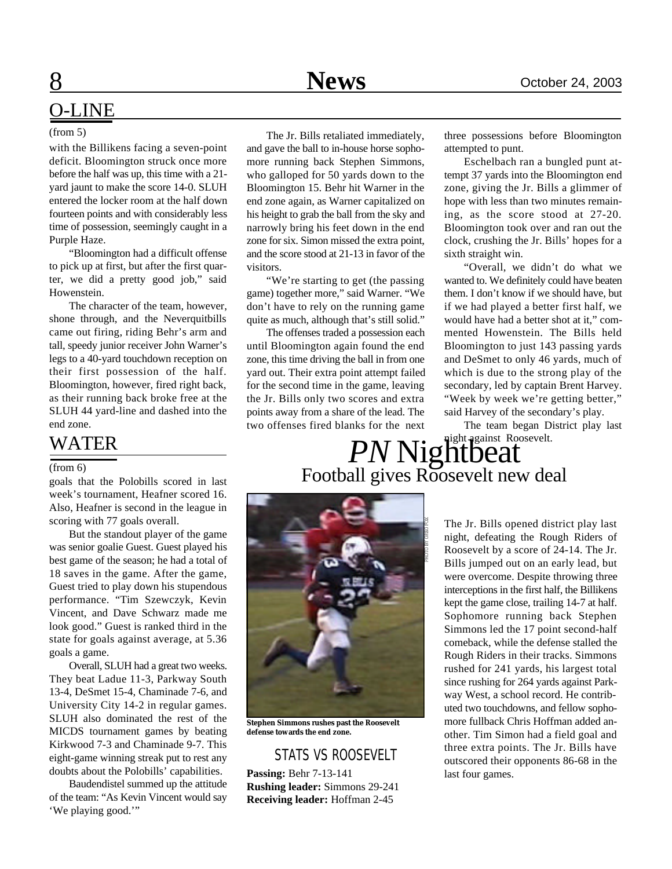### O-LINE

#### (from 5)

with the Billikens facing a seven-point deficit. Bloomington struck once more before the half was up, this time with a 21 yard jaunt to make the score 14-0. SLUH entered the locker room at the half down fourteen points and with considerably less time of possession, seemingly caught in a Purple Haze.

"Bloomington had a difficult offense to pick up at first, but after the first quarter, we did a pretty good job," said Howenstein.

The character of the team, however, shone through, and the Neverquitbills came out firing, riding Behr's arm and tall, speedy junior receiver John Warner's legs to a 40-yard touchdown reception on their first possession of the half. Bloomington, however, fired right back, as their running back broke free at the SLUH 44 yard-line and dashed into the end zone.

goals that the Polobills scored in last week's tournament, Heafner scored 16. Also, Heafner is second in the league in scoring with 77 goals overall.

But the standout player of the game was senior goalie Guest. Guest played his best game of the season; he had a total of 18 saves in the game. After the game, Guest tried to play down his stupendous performance. "Tim Szewczyk, Kevin Vincent, and Dave Schwarz made me look good." Guest is ranked third in the state for goals against average, at 5.36 goals a game.

Overall, SLUH had a great two weeks. They beat Ladue 11-3, Parkway South 13-4, DeSmet 15-4, Chaminade 7-6, and University City 14-2 in regular games. SLUH also dominated the rest of the MICDS tournament games by beating Kirkwood 7-3 and Chaminade 9-7. This eight-game winning streak put to rest any doubts about the Polobills' capabilities.

Baudendistel summed up the attitude of the team: "As Kevin Vincent would say 'We playing good.'"

The Jr. Bills retaliated immediately, and gave the ball to in-house horse sophomore running back Stephen Simmons, who galloped for 50 yards down to the Bloomington 15. Behr hit Warner in the end zone again, as Warner capitalized on his height to grab the ball from the sky and narrowly bring his feet down in the end zone for six. Simon missed the extra point, and the score stood at 21-13 in favor of the visitors.

"We're starting to get (the passing game) together more," said Warner. "We don't have to rely on the running game quite as much, although that's still solid."

The offenses traded a possession each until Bloomington again found the end zone, this time driving the ball in from one yard out. Their extra point attempt failed for the second time in the game, leaving the Jr. Bills only two scores and extra points away from a share of the lead. The two offenses fired blanks for the next

three possessions before Bloomington attempted to punt.

Eschelbach ran a bungled punt attempt 37 yards into the Bloomington end zone, giving the Jr. Bills a glimmer of hope with less than two minutes remaining, as the score stood at 27-20. Bloomington took over and ran out the clock, crushing the Jr. Bills' hopes for a sixth straight win.

"Overall, we didn't do what we wanted to. We definitely could have beaten them. I don't know if we should have, but if we had played a better first half, we would have had a better shot at it," commented Howenstein. The Bills held Bloomington to just 143 passing yards and DeSmet to only 46 yards, much of which is due to the strong play of the secondary, led by captain Brent Harvey. "Week by week we're getting better," said Harvey of the secondary's play.

The team began District play last

# WATER **PN Night against Roosevelt.**  $\sum_{\text{goals that the Polobills scored in last}}$  Football gives Roosevelt new deal



**Stephen Simmons rushes past the Roosevelt defense towards the end zone.**

### STATS VS ROOSEVELT

**Passing:** Behr 7-13-141 **Rushing leader:** Simmons 29-241 **Receiving leader:** Hoffman 2-45

The Jr. Bills opened district play last night, defeating the Rough Riders of Roosevelt by a score of 24-14. The Jr. Bills jumped out on an early lead, but were overcome. Despite throwing three interceptions in the first half, the Billikens kept the game close, trailing 14-7 at half. Sophomore running back Stephen Simmons led the 17 point second-half comeback, while the defense stalled the Rough Riders in their tracks. Simmons rushed for 241 yards, his largest total since rushing for 264 yards against Parkway West, a school record. He contributed two touchdowns, and fellow sophomore fullback Chris Hoffman added another. Tim Simon had a field goal and three extra points. The Jr. Bills have outscored their opponents 86-68 in the last four games.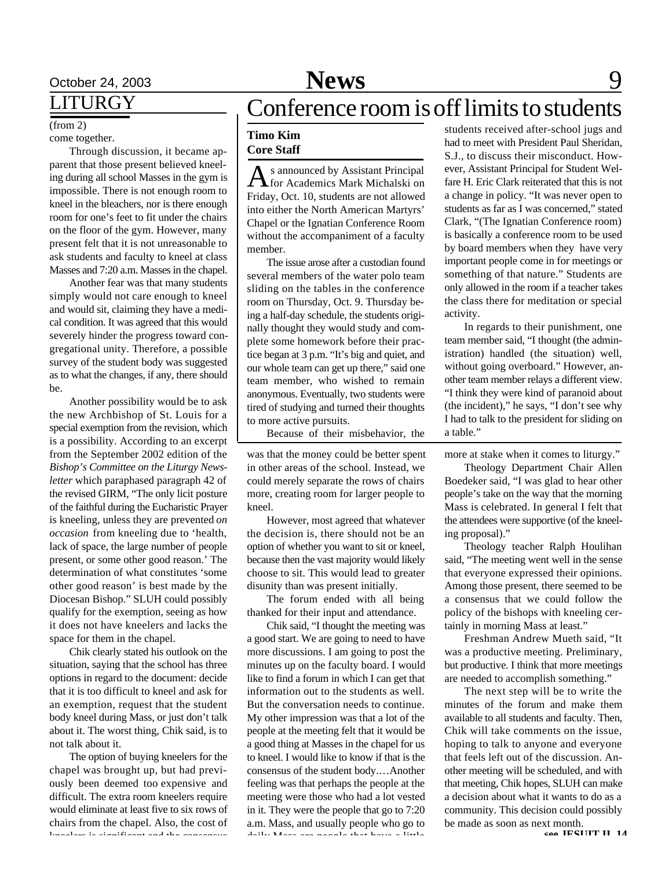# October 24, 2003 **News** 9

### LITURGY

(from 2)

### come together.

Through discussion, it became apparent that those present believed kneeling during all school Masses in the gym is impossible. There is not enough room to kneel in the bleachers, nor is there enough room for one's feet to fit under the chairs on the floor of the gym. However, many present felt that it is not unreasonable to ask students and faculty to kneel at class Masses and 7:20 a.m. Masses in the chapel.

Another fear was that many students simply would not care enough to kneel and would sit, claiming they have a medical condition. It was agreed that this would severely hinder the progress toward congregational unity. Therefore, a possible survey of the student body was suggested as to what the changes, if any, there should be.

Another possibility would be to ask the new Archbishop of St. Louis for a special exemption from the revision, which is a possibility. According to an excerpt from the September 2002 edition of the *Bishop's Committee on the Liturgy Newsletter* which paraphased paragraph 42 of the revised GIRM, "The only licit posture of the faithful during the Eucharistic Prayer is kneeling, unless they are prevented *on occasion* from kneeling due to 'health, lack of space, the large number of people present, or some other good reason.' The determination of what constitutes 'some other good reason' is best made by the Diocesan Bishop." SLUH could possibly qualify for the exemption, seeing as how it does not have kneelers and lacks the space for them in the chapel.

Chik clearly stated his outlook on the situation, saying that the school has three options in regard to the document: decide that it is too difficult to kneel and ask for an exemption, request that the student body kneel during Mass, or just don't talk about it. The worst thing, Chik said, is to not talk about it.

The option of buying kneelers for the chapel was brought up, but had previously been deemed too expensive and difficult. The extra room kneelers require would eliminate at least five to six rows of chairs from the chapel. Also, the cost of kneelers is significant and the consensus

# Conference room is off limits to students

### **Timo Kim Core Staff**

As announced by Assistant Principal<br>for Academics Mark Michalski on s announced by Assistant Principal Friday, Oct. 10, students are not allowed into either the North American Martyrs' Chapel or the Ignatian Conference Room without the accompaniment of a faculty member.

The issue arose after a custodian found several members of the water polo team sliding on the tables in the conference room on Thursday, Oct. 9. Thursday being a half-day schedule, the students originally thought they would study and complete some homework before their practice began at 3 p.m. "It's big and quiet, and our whole team can get up there," said one team member, who wished to remain anonymous. Eventually, two students were tired of studying and turned their thoughts to more active pursuits.

Because of their misbehavior, the

was that the money could be better spent in other areas of the school. Instead, we could merely separate the rows of chairs more, creating room for larger people to kneel.

However, most agreed that whatever the decision is, there should not be an option of whether you want to sit or kneel, because then the vast majority would likely choose to sit. This would lead to greater disunity than was present initially.

The forum ended with all being thanked for their input and attendance.

Chik said, "I thought the meeting was a good start. We are going to need to have more discussions. I am going to post the minutes up on the faculty board. I would like to find a forum in which I can get that information out to the students as well. But the conversation needs to continue. My other impression was that a lot of the people at the meeting felt that it would be a good thing at Masses in the chapel for us to kneel. I would like to know if that is the consensus of the student body.…Another feeling was that perhaps the people at the meeting were those who had a lot vested in it. They were the people that go to 7:20 a.m. Mass, and usually people who go to daily Mass are people that have a little

students received after-school jugs and had to meet with President Paul Sheridan, S.J., to discuss their misconduct. However, Assistant Principal for Student Welfare H. Eric Clark reiterated that this is not a change in policy. "It was never open to students as far as I was concerned," stated Clark, "(The Ignatian Conference room) is basically a conference room to be used by board members when they have very important people come in for meetings or something of that nature." Students are only allowed in the room if a teacher takes the class there for meditation or special activity.

In regards to their punishment, one team member said, "I thought (the administration) handled (the situation) well, without going overboard." However, another team member relays a different view. "I think they were kind of paranoid about (the incident)," he says, "I don't see why I had to talk to the president for sliding on a table."

more at stake when it comes to liturgy."

Theology Department Chair Allen Boedeker said, "I was glad to hear other people's take on the way that the morning Mass is celebrated. In general I felt that the attendees were supportive (of the kneeling proposal)."

Theology teacher Ralph Houlihan said, "The meeting went well in the sense that everyone expressed their opinions. Among those present, there seemed to be a consensus that we could follow the policy of the bishops with kneeling certainly in morning Mass at least."

Freshman Andrew Mueth said, "It was a productive meeting. Preliminary, but productive. I think that more meetings are needed to accomplish something."

The next step will be to write the minutes of the forum and make them available to all students and faculty. Then, Chik will take comments on the issue, hoping to talk to anyone and everyone that feels left out of the discussion. Another meeting will be scheduled, and with that meeting, Chik hopes, SLUH can make a decision about what it wants to do as a community. This decision could possibly be made as soon as next month.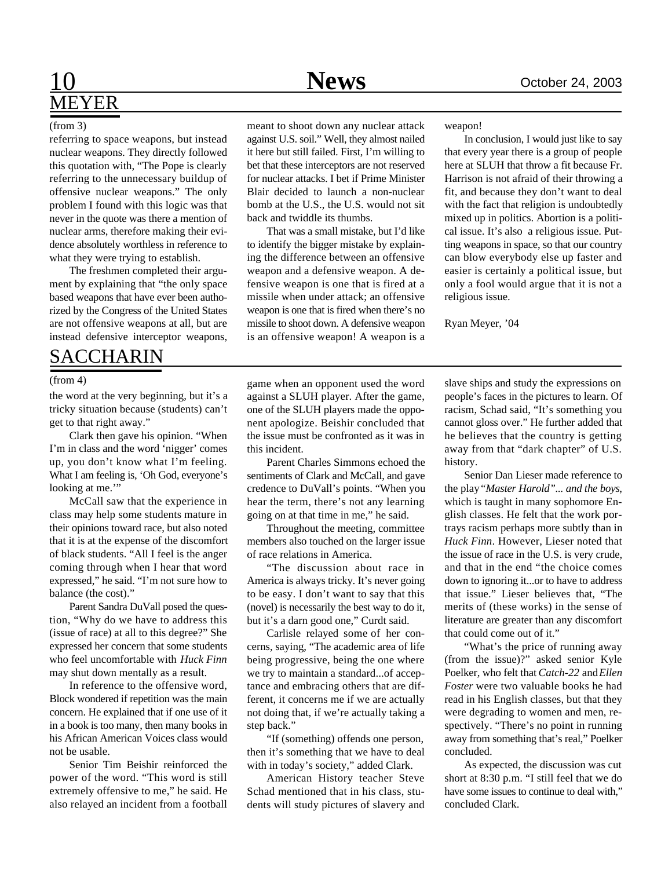### 10 **News** October 24, 2003 MEYER

### (from 3)

referring to space weapons, but instead nuclear weapons. They directly followed this quotation with, "The Pope is clearly referring to the unnecessary buildup of offensive nuclear weapons." The only problem I found with this logic was that never in the quote was there a mention of nuclear arms, therefore making their evidence absolutely worthless in reference to what they were trying to establish.

The freshmen completed their argument by explaining that "the only space based weapons that have ever been authorized by the Congress of the United States are not offensive weapons at all, but are instead defensive interceptor weapons,

### SACCHARIN

#### (from 4)

the word at the very beginning, but it's a tricky situation because (students) can't get to that right away."

Clark then gave his opinion. "When I'm in class and the word 'nigger' comes up, you don't know what I'm feeling. What I am feeling is, 'Oh God, everyone's looking at me."

McCall saw that the experience in class may help some students mature in their opinions toward race, but also noted that it is at the expense of the discomfort of black students. "All I feel is the anger coming through when I hear that word expressed," he said. "I'm not sure how to balance (the cost)."

Parent Sandra DuVall posed the question, "Why do we have to address this (issue of race) at all to this degree?" She expressed her concern that some students who feel uncomfortable with *Huck Finn* may shut down mentally as a result.

In reference to the offensive word, Block wondered if repetition was the main concern. He explained that if one use of it in a book is too many, then many books in his African American Voices class would not be usable.

Senior Tim Beishir reinforced the power of the word. "This word is still extremely offensive to me," he said. He also relayed an incident from a football

meant to shoot down any nuclear attack against U.S. soil." Well, they almost nailed it here but still failed. First, I'm willing to bet that these interceptors are not reserved for nuclear attacks. I bet if Prime Minister

Blair decided to launch a non-nuclear bomb at the U.S., the U.S. would not sit

back and twiddle its thumbs. That was a small mistake, but I'd like to identify the bigger mistake by explaining the difference between an offensive weapon and a defensive weapon. A defensive weapon is one that is fired at a missile when under attack; an offensive weapon is one that is fired when there's no missile to shoot down. A defensive weapon is an offensive weapon! A weapon is a

weapon!

In conclusion, I would just like to say that every year there is a group of people here at SLUH that throw a fit because Fr. Harrison is not afraid of their throwing a fit, and because they don't want to deal with the fact that religion is undoubtedly mixed up in politics. Abortion is a political issue. It's also a religious issue. Putting weapons in space, so that our country can blow everybody else up faster and easier is certainly a political issue, but only a fool would argue that it is not a religious issue.

Ryan Meyer, '04

game when an opponent used the word against a SLUH player. After the game, one of the SLUH players made the opponent apologize. Beishir concluded that the issue must be confronted as it was in this incident.

Parent Charles Simmons echoed the sentiments of Clark and McCall, and gave credence to DuVall's points. "When you hear the term, there's not any learning going on at that time in me," he said.

Throughout the meeting, committee members also touched on the larger issue of race relations in America.

"The discussion about race in America is always tricky. It's never going to be easy. I don't want to say that this (novel) is necessarily the best way to do it, but it's a darn good one," Curdt said.

Carlisle relayed some of her concerns, saying, "The academic area of life being progressive, being the one where we try to maintain a standard...of acceptance and embracing others that are different, it concerns me if we are actually not doing that, if we're actually taking a step back."

"If (something) offends one person, then it's something that we have to deal with in today's society," added Clark.

American History teacher Steve Schad mentioned that in his class, students will study pictures of slavery and

slave ships and study the expressions on people's faces in the pictures to learn. Of racism, Schad said, "It's something you cannot gloss over." He further added that he believes that the country is getting away from that "dark chapter" of U.S. history.

Senior Dan Lieser made reference to the play *"Master Harold"... and the boys*, which is taught in many sophomore English classes. He felt that the work portrays racism perhaps more subtly than in *Huck Finn*. However, Lieser noted that the issue of race in the U.S. is very crude, and that in the end "the choice comes down to ignoring it...or to have to address that issue." Lieser believes that, "The merits of (these works) in the sense of literature are greater than any discomfort that could come out of it."

"What's the price of running away (from the issue)?" asked senior Kyle Poelker, who felt that *Catch-22* and *Ellen Foster* were two valuable books he had read in his English classes, but that they were degrading to women and men, respectively. "There's no point in running away from something that's real," Poelker concluded.

As expected, the discussion was cut short at 8:30 p.m. "I still feel that we do have some issues to continue to deal with," concluded Clark.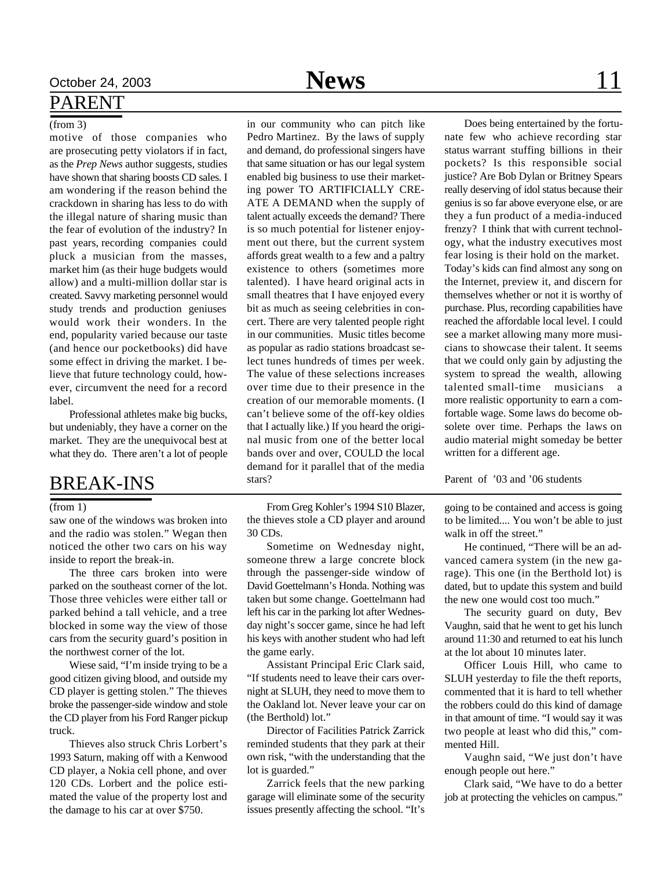### PARENT

### (from 3)

motive of those companies who are prosecuting petty violators if in fact, as the *Prep News* author suggests, studies have shown that sharing boosts CD sales. I am wondering if the reason behind the crackdown in sharing has less to do with the illegal nature of sharing music than the fear of evolution of the industry? In past years, recording companies could pluck a musician from the masses, market him (as their huge budgets would allow) and a multi-million dollar star is created. Savvy marketing personnel would study trends and production geniuses would work their wonders. In the end, popularity varied because our taste (and hence our pocketbooks) did have some effect in driving the market. I believe that future technology could, however, circumvent the need for a record label.

Professional athletes make big bucks, but undeniably, they have a corner on the market. They are the unequivocal best at what they do. There aren't a lot of people

### BREAK-INS

#### (from 1)

saw one of the windows was broken into and the radio was stolen." Wegan then noticed the other two cars on his way inside to report the break-in.

The three cars broken into were parked on the southeast corner of the lot. Those three vehicles were either tall or parked behind a tall vehicle, and a tree blocked in some way the view of those cars from the security guard's position in the northwest corner of the lot.

Wiese said, "I'm inside trying to be a good citizen giving blood, and outside my CD player is getting stolen." The thieves broke the passenger-side window and stole the CD player from his Ford Ranger pickup truck.

Thieves also struck Chris Lorbert's 1993 Saturn, making off with a Kenwood CD player, a Nokia cell phone, and over 120 CDs. Lorbert and the police estimated the value of the property lost and the damage to his car at over \$750.

October 24, 2003 **News** 11

in our community who can pitch like Pedro Martinez. By the laws of supply and demand, do professional singers have that same situation or has our legal system enabled big business to use their marketing power TO ARTIFICIALLY CRE-ATE A DEMAND when the supply of talent actually exceeds the demand? There is so much potential for listener enjoyment out there, but the current system affords great wealth to a few and a paltry existence to others (sometimes more talented). I have heard original acts in small theatres that I have enjoyed every bit as much as seeing celebrities in concert. There are very talented people right in our communities. Music titles become as popular as radio stations broadcast select tunes hundreds of times per week. The value of these selections increases over time due to their presence in the creation of our memorable moments. (I can't believe some of the off-key oldies that I actually like.) If you heard the original music from one of the better local bands over and over, COULD the local demand for it parallel that of the media stars?

From Greg Kohler's 1994 S10 Blazer, the thieves stole a CD player and around 30 CDs.

Sometime on Wednesday night, someone threw a large concrete block through the passenger-side window of David Goettelmann's Honda. Nothing was taken but some change. Goettelmann had left his car in the parking lot after Wednesday night's soccer game, since he had left his keys with another student who had left the game early.

Assistant Principal Eric Clark said, "If students need to leave their cars overnight at SLUH, they need to move them to the Oakland lot. Never leave your car on (the Berthold) lot."

Director of Facilities Patrick Zarrick reminded students that they park at their own risk, "with the understanding that the lot is guarded."

Zarrick feels that the new parking garage will eliminate some of the security issues presently affecting the school. "It's

Does being entertained by the fortunate few who achieve recording star status warrant stuffing billions in their pockets? Is this responsible social justice? Are Bob Dylan or Britney Spears really deserving of idol status because their genius is so far above everyone else, or are they a fun product of a media-induced frenzy? I think that with current technology, what the industry executives most fear losing is their hold on the market. Today's kids can find almost any song on the Internet, preview it, and discern for themselves whether or not it is worthy of purchase. Plus, recording capabilities have reached the affordable local level. I could see a market allowing many more musicians to showcase their talent. It seems that we could only gain by adjusting the system to spread the wealth, allowing talented small-time musicians a more realistic opportunity to earn a comfortable wage. Some laws do become obsolete over time. Perhaps the laws on audio material might someday be better written for a different age.

Parent of '03 and '06 students

going to be contained and access is going to be limited.... You won't be able to just walk in off the street."

He continued, "There will be an advanced camera system (in the new garage). This one (in the Berthold lot) is dated, but to update this system and build the new one would cost too much."

The security guard on duty, Bev Vaughn, said that he went to get his lunch around 11:30 and returned to eat his lunch at the lot about 10 minutes later.

Officer Louis Hill, who came to SLUH yesterday to file the theft reports, commented that it is hard to tell whether the robbers could do this kind of damage in that amount of time. "I would say it was two people at least who did this," commented Hill.

Vaughn said, "We just don't have enough people out here."

Clark said, "We have to do a better job at protecting the vehicles on campus."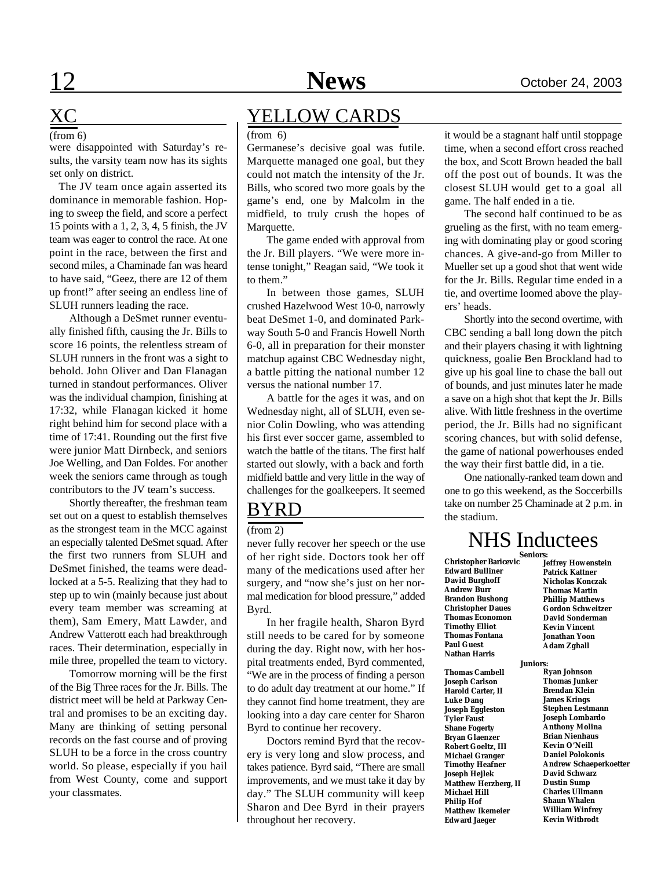# XC

were disappointed with Saturday's results, the varsity team now has its sights set only on district.

 The JV team once again asserted its dominance in memorable fashion. Hoping to sweep the field, and score a perfect 15 points with a 1, 2, 3, 4, 5 finish, the JV team was eager to control the race. At one point in the race, between the first and second miles, a Chaminade fan was heard to have said, "Geez, there are 12 of them up front!" after seeing an endless line of SLUH runners leading the race.

Although a DeSmet runner eventually finished fifth, causing the Jr. Bills to score 16 points, the relentless stream of SLUH runners in the front was a sight to behold. John Oliver and Dan Flanagan turned in standout performances. Oliver was the individual champion, finishing at 17:32, while Flanagan kicked it home right behind him for second place with a time of 17:41. Rounding out the first five were junior Matt Dirnbeck, and seniors Joe Welling, and Dan Foldes. For another week the seniors came through as tough contributors to the JV team's success.

Shortly thereafter, the freshman team set out on a quest to establish themselves as the strongest team in the MCC against an especially talented DeSmet squad. After the first two runners from SLUH and DeSmet finished, the teams were deadlocked at a 5-5. Realizing that they had to step up to win (mainly because just about every team member was screaming at them), Sam Emery, Matt Lawder, and Andrew Vatterott each had breakthrough races. Their determination, especially in mile three, propelled the team to victory.

Tomorrow morning will be the first of the Big Three races for the Jr. Bills. The district meet will be held at Parkway Central and promises to be an exciting day. Many are thinking of setting personal records on the fast course and of proving SLUH to be a force in the cross country world. So please, especially if you hail from West County, come and support your classmates.

### YELLOW CARDS

#### (from 6)

Germanese's decisive goal was futile. Marquette managed one goal, but they could not match the intensity of the Jr. Bills, who scored two more goals by the game's end, one by Malcolm in the midfield, to truly crush the hopes of Marquette.

The game ended with approval from the Jr. Bill players. "We were more intense tonight," Reagan said, "We took it to them."

In between those games, SLUH crushed Hazelwood West 10-0, narrowly beat DeSmet 1-0, and dominated Parkway South 5-0 and Francis Howell North 6-0, all in preparation for their monster matchup against CBC Wednesday night, a battle pitting the national number 12 versus the national number 17.

A battle for the ages it was, and on Wednesday night, all of SLUH, even senior Colin Dowling, who was attending his first ever soccer game, assembled to watch the battle of the titans. The first half started out slowly, with a back and forth midfield battle and very little in the way of challenges for the goalkeepers. It seemed

### BYRD

#### (from 2)

never fully recover her speech or the use of her right side. Doctors took her off many of the medications used after her surgery, and "now she's just on her normal medication for blood pressure," added Byrd.

In her fragile health, Sharon Byrd still needs to be cared for by someone during the day. Right now, with her hospital treatments ended, Byrd commented, "We are in the process of finding a person to do adult day treatment at our home." If they cannot find home treatment, they are looking into a day care center for Sharon Byrd to continue her recovery.

Doctors remind Byrd that the recovery is very long and slow process, and takes patience. Byrd said, "There are small improvements, and we must take it day by day." The SLUH community will keep Sharon and Dee Byrd in their prayers throughout her recovery.

 $(\text{from 6})$   $(\text{from 6})$  it would be a stagnant half until stoppage time, when a second effort cross reached the box, and Scott Brown headed the ball off the post out of bounds. It was the closest SLUH would get to a goal all game. The half ended in a tie.

> The second half continued to be as grueling as the first, with no team emerging with dominating play or good scoring chances. A give-and-go from Miller to Mueller set up a good shot that went wide for the Jr. Bills. Regular time ended in a tie, and overtime loomed above the players' heads.

> Shortly into the second overtime, with CBC sending a ball long down the pitch and their players chasing it with lightning quickness, goalie Ben Brockland had to give up his goal line to chase the ball out of bounds, and just minutes later he made a save on a high shot that kept the Jr. Bills alive. With little freshness in the overtime period, the Jr. Bills had no significant scoring chances, but with solid defense, the game of national powerhouses ended the way their first battle did, in a tie.

> One nationally-ranked team down and one to go this weekend, as the Soccerbills take on number 25 Chaminade at 2 p.m. in the stadium.

### NHS Inductees

**Edward Bulliner David Burghoff Andrew Burr Brandon Bushong Christopher Daues Thomas Economon Timothy Elliot Thomas Fontana Paul Guest Nathan Harris**

**Thomas Cambell Joseph Carlson Harold Carter, II Luke Dang Joseph Eggleston Tyler Faust Shane Fogerty Bryan Glaenzer Robert Goeltz, III Michael Granger Timothy Heafner Joseph Hejlek Matthew Herzberg, II Michael Hill Philip Hof Matthew Ikemeier Edward Jaeger**

**Christopher Baricevic Jeffrey Howenstein Seniors: Patrick Kattner Nicholas Konczak Thomas Martin Phillip Matthews Gordon Schweitzer David Sonderman Kevin Vincent Jonathan Yoon Adam Zghall**

#### **Juniors:**

**Ryan Johnson Thomas Junker Brendan Klein James Krings Stephen Lestmann Joseph Lombardo Anthony Molina Brian Nienhaus Kevin O'Neill Daniel Polokonis Andrew Schaeperkoetter David Schwarz Dustin Sump Charles Ullmann Shaun Whalen William Winfrey Kevin Witbrodt**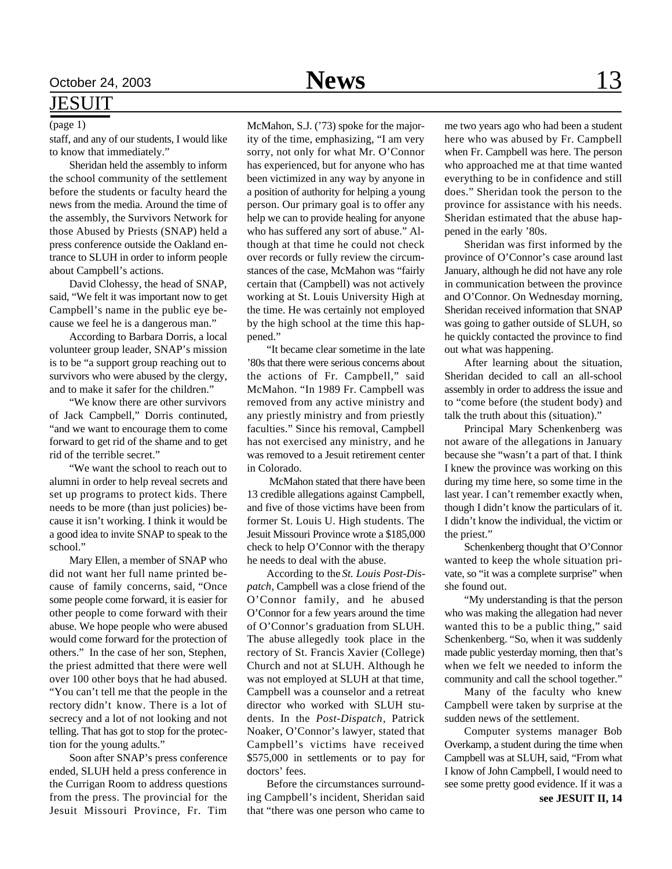### JESUIT

#### (page 1)

staff, and any of our students, I would like to know that immediately."

Sheridan held the assembly to inform the school community of the settlement before the students or faculty heard the news from the media. Around the time of the assembly, the Survivors Network for those Abused by Priests (SNAP) held a press conference outside the Oakland entrance to SLUH in order to inform people about Campbell's actions.

David Clohessy, the head of SNAP, said, "We felt it was important now to get Campbell's name in the public eye because we feel he is a dangerous man."

According to Barbara Dorris, a local volunteer group leader, SNAP's mission is to be "a support group reaching out to survivors who were abused by the clergy, and to make it safer for the children."

"We know there are other survivors of Jack Campbell," Dorris continuted, "and we want to encourage them to come forward to get rid of the shame and to get rid of the terrible secret."

"We want the school to reach out to alumni in order to help reveal secrets and set up programs to protect kids. There needs to be more (than just policies) because it isn't working. I think it would be a good idea to invite SNAP to speak to the school."

Mary Ellen, a member of SNAP who did not want her full name printed because of family concerns, said, "Once some people come forward, it is easier for other people to come forward with their abuse. We hope people who were abused would come forward for the protection of others." In the case of her son, Stephen, the priest admitted that there were well over 100 other boys that he had abused. "You can't tell me that the people in the rectory didn't know. There is a lot of secrecy and a lot of not looking and not telling. That has got to stop for the protection for the young adults."

Soon after SNAP's press conference ended, SLUH held a press conference in the Currigan Room to address questions from the press. The provincial for the Jesuit Missouri Province, Fr. Tim McMahon, S.J. ('73) spoke for the majority of the time, emphasizing, "I am very sorry, not only for what Mr. O'Connor has experienced, but for anyone who has been victimized in any way by anyone in a position of authority for helping a young person. Our primary goal is to offer any help we can to provide healing for anyone who has suffered any sort of abuse." Although at that time he could not check over records or fully review the circumstances of the case, McMahon was "fairly certain that (Campbell) was not actively working at St. Louis University High at the time. He was certainly not employed by the high school at the time this happened."

"It became clear sometime in the late '80s that there were serious concerns about the actions of Fr. Campbell," said McMahon. "In 1989 Fr. Campbell was removed from any active ministry and any priestly ministry and from priestly faculties." Since his removal, Campbell has not exercised any ministry, and he was removed to a Jesuit retirement center in Colorado.

 McMahon stated that there have been 13 credible allegations against Campbell, and five of those victims have been from former St. Louis U. High students. The Jesuit Missouri Province wrote a \$185,000 check to help O'Connor with the therapy he needs to deal with the abuse.

According to the *St. Louis Post-Dispatch*, Campbell was a close friend of the O'Connor family, and he abused O'Connor for a few years around the time of O'Connor's graduation from SLUH. The abuse allegedly took place in the rectory of St. Francis Xavier (College) Church and not at SLUH. Although he was not employed at SLUH at that time, Campbell was a counselor and a retreat director who worked with SLUH students. In the *Post-Dispatch*, Patrick Noaker, O'Connor's lawyer, stated that Campbell's victims have received \$575,000 in settlements or to pay for doctors' fees.

Before the circumstances surrounding Campbell's incident, Sheridan said that "there was one person who came to

me two years ago who had been a student here who was abused by Fr. Campbell when Fr. Campbell was here. The person who approached me at that time wanted everything to be in confidence and still does." Sheridan took the person to the province for assistance with his needs. Sheridan estimated that the abuse happened in the early '80s.

Sheridan was first informed by the province of O'Connor's case around last January, although he did not have any role in communication between the province and O'Connor. On Wednesday morning, Sheridan received information that SNAP was going to gather outside of SLUH, so he quickly contacted the province to find out what was happening.

After learning about the situation, Sheridan decided to call an all-school assembly in order to address the issue and to "come before (the student body) and talk the truth about this (situation)."

Principal Mary Schenkenberg was not aware of the allegations in January because she "wasn't a part of that. I think I knew the province was working on this during my time here, so some time in the last year. I can't remember exactly when, though I didn't know the particulars of it. I didn't know the individual, the victim or the priest."

Schenkenberg thought that O'Connor wanted to keep the whole situation private, so "it was a complete surprise" when she found out.

"My understanding is that the person who was making the allegation had never wanted this to be a public thing," said Schenkenberg. "So, when it was suddenly made public yesterday morning, then that's when we felt we needed to inform the community and call the school together."

Many of the faculty who knew Campbell were taken by surprise at the sudden news of the settlement.

Computer systems manager Bob Overkamp, a student during the time when Campbell was at SLUH, said, "From what I know of John Campbell, I would need to see some pretty good evidence. If it was a

**see JESUIT II, 14**